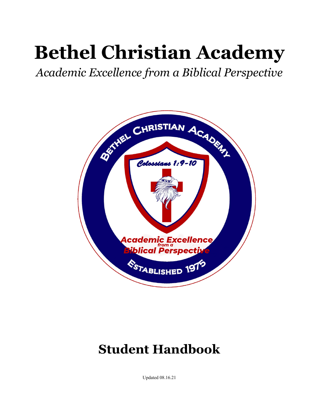# **Bethel Christian Academy**

*Academic Excellence from a Biblical Perspective*



# **Student Handbook**

Updated 08.16.21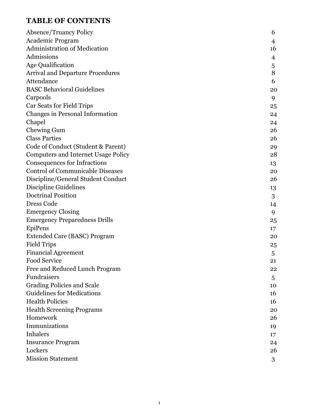# **TABLE OF CONTENTS**

| <b>Absence/Truancy Policy</b>              | 6              |
|--------------------------------------------|----------------|
| <b>Academic Program</b>                    | 4              |
| Administration of Medication               | 16             |
| Admissions                                 | $\overline{4}$ |
| <b>Age Qualification</b>                   | 5              |
| <b>Arrival and Departure Procedures</b>    | 8              |
| Attendance                                 | 6              |
| <b>BASC Behavioral Guidelines</b>          | 20             |
| Carpools                                   | 9              |
| Car Seats for Field Trips                  | 25             |
| Changes in Personal Information            | 24             |
| Chapel                                     | 24             |
| <b>Chewing Gum</b>                         | 26             |
| <b>Class Parties</b>                       | 26             |
| Code of Conduct (Student & Parent)         | 29             |
| <b>Computers and Internet Usage Policy</b> | 28             |
| <b>Consequences for Infractions</b>        | 13             |
| <b>Control of Communicable Diseases</b>    | 20             |
| Discipline/General Student Conduct         | 26             |
| <b>Discipline Guidelines</b>               | 13             |
| <b>Doctrinal Position</b>                  | 3              |
| Dress Code                                 | 14             |
| <b>Emergency Closing</b>                   | 9              |
| <b>Emergency Preparedness Drills</b>       | 25             |
| EpiPens                                    | 17             |
| Extended Care (BASC) Program               | 20             |
| <b>Field Trips</b>                         | 25             |
| <b>Financial Agreement</b>                 | 5              |
| Food Service                               | 21             |
| Free and Reduced Lunch Program             | 22             |
| Fundraisers                                | 5              |
| <b>Grading Policies and Scale</b>          | 10             |
| <b>Guidelines for Medications</b>          | 16             |
| <b>Health Policies</b>                     | 16             |
| <b>Health Screening Programs</b>           | 20             |
| Homework                                   | 26             |
| Immunizations                              | 19             |
| <b>Inhalers</b>                            | 17             |
| <b>Insurance Program</b>                   | 24             |
| Lockers                                    | 26             |
| <b>Mission Statement</b>                   | 3              |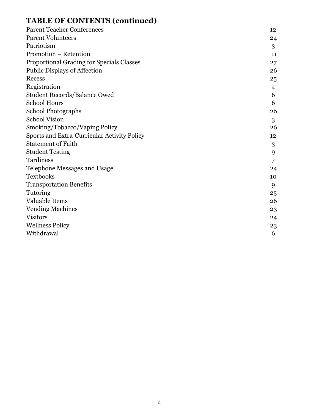# **TABLE OF CONTENTS (continued)**

| <b>Parent Teacher Conferences</b>                  | 12 |
|----------------------------------------------------|----|
| <b>Parent Volunteers</b>                           | 24 |
| Patriotism                                         | 3  |
| Promotion - Retention                              | 11 |
| Proportional Grading for Specials Classes          | 27 |
| Public Displays of Affection                       | 26 |
| Recess                                             | 25 |
| Registration                                       | 4  |
| <b>Student Records/Balance Owed</b>                | 6  |
| <b>School Hours</b>                                | 6  |
| <b>School Photographs</b>                          | 26 |
| <b>School Vision</b>                               | 3  |
| Smoking/Tobacco/Vaping Policy                      | 26 |
| <b>Sports and Extra-Curricular Activity Policy</b> | 12 |
| <b>Statement of Faith</b>                          | 3  |
| <b>Student Testing</b>                             | 9  |
| Tardiness                                          | 7  |
| Telephone Messages and Usage                       | 24 |
| <b>Textbooks</b>                                   | 10 |
| <b>Transportation Benefits</b>                     | 9  |
| Tutoring                                           | 25 |
| Valuable Items                                     | 26 |
| <b>Vending Machines</b>                            | 23 |
| <b>Visitors</b>                                    | 24 |
| <b>Wellness Policy</b>                             | 23 |
| Withdrawal                                         | 6  |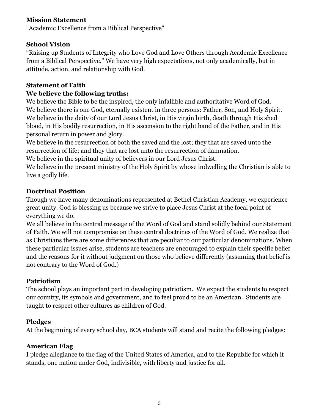#### **Mission Statement**

"Academic Excellence from a Biblical Perspective"

#### **School Vision**

"Raising up Students of Integrity who Love God and Love Others through Academic Excellence from a Biblical Perspective." We have very high expectations, not only academically, but in attitude, action, and relationship with God.

# **Statement of Faith**

#### **We believe the following truths:**

We believe the Bible to be the inspired, the only infallible and authoritative Word of God. We believe there is one God, eternally existent in three persons: Father, Son, and Holy Spirit. We believe in the deity of our Lord Jesus Christ, in His virgin birth, death through His shed blood, in His bodily resurrection, in His ascension to the right hand of the Father, and in His personal return in power and glory.

We believe in the resurrection of both the saved and the lost; they that are saved unto the resurrection of life; and they that are lost unto the resurrection of damnation.

We believe in the spiritual unity of believers in our Lord Jesus Christ.

We believe in the present ministry of the Holy Spirit by whose indwelling the Christian is able to live a godly life.

#### **Doctrinal Position**

Though we have many denominations represented at Bethel Christian Academy, we experience great unity. God is blessing us because we strive to place Jesus Christ at the focal point of everything we do.

We all believe in the central message of the Word of God and stand solidly behind our Statement of Faith. We will not compromise on these central doctrines of the Word of God. We realize that as Christians there are some differences that are peculiar to our particular denominations. When these particular issues arise, students are teachers are encouraged to explain their specific belief and the reasons for it without judgment on those who believe differently (assuming that belief is not contrary to the Word of God.)

# **Patriotism**

The school plays an important part in developing patriotism. We expect the students to respect our country, its symbols and government, and to feel proud to be an American. Students are taught to respect other cultures as children of God.

# **Pledges**

At the beginning of every school day, BCA students will stand and recite the following pledges:

# **American Flag**

I pledge allegiance to the flag of the United States of America, and to the Republic for which it stands, one nation under God, indivisible, with liberty and justice for all.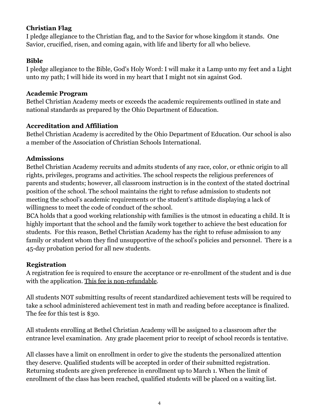# **Christian Flag**

I pledge allegiance to the Christian flag, and to the Savior for whose kingdom it stands. One Savior, crucified, risen, and coming again, with life and liberty for all who believe.

# **Bible**

I pledge allegiance to the Bible, God's Holy Word: I will make it a Lamp unto my feet and a Light unto my path; I will hide its word in my heart that I might not sin against God.

# **Academic Program**

Bethel Christian Academy meets or exceeds the academic requirements outlined in state and national standards as prepared by the Ohio Department of Education.

# **Accreditation and Affiliation**

Bethel Christian Academy is accredited by the Ohio Department of Education. Our school is also a member of the Association of Christian Schools International.

# **Admissions**

Bethel Christian Academy recruits and admits students of any race, color, or ethnic origin to all rights, privileges, programs and activities. The school respects the religious preferences of parents and students; however, all classroom instruction is in the context of the stated doctrinal position of the school. The school maintains the right to refuse admission to students not meeting the school's academic requirements or the student's attitude displaying a lack of willingness to meet the code of conduct of the school.

BCA holds that a good working relationship with families is the utmost in educating a child. It is highly important that the school and the family work together to achieve the best education for students. For this reason, Bethel Christian Academy has the right to refuse admission to any family or student whom they find unsupportive of the school's policies and personnel. There is a 45-day probation period for all new students.

# **Registration**

A registration fee is required to ensure the acceptance or re-enrollment of the student and is due with the application. This fee is non-refundable.

All students NOT submitting results of recent standardized achievement tests will be required to take a school administered achievement test in math and reading before acceptance is finalized. The fee for this test is \$30.

All students enrolling at Bethel Christian Academy will be assigned to a classroom after the entrance level examination. Any grade placement prior to receipt of school records is tentative.

All classes have a limit on enrollment in order to give the students the personalized attention they deserve. Qualified students will be accepted in order of their submitted registration. Returning students are given preference in enrollment up to March 1. When the limit of enrollment of the class has been reached, qualified students will be placed on a waiting list.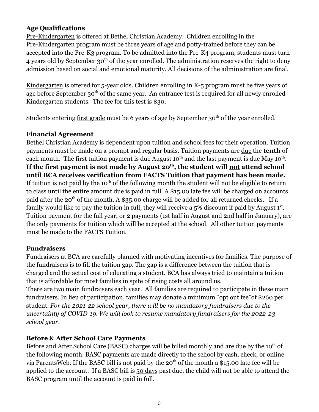# **Age Qualifications**

Pre-Kindergarten is offered at Bethel Christian Academy. Children enrolling in the Pre-Kindergarten program must be three years of age and potty-trained before they can be accepted into the Pre-K3 program. To be admitted into the Pre-K4 program, students must turn 4 years old by September 30<sup>th</sup> of the year enrolled. The administration reserves the right to deny admission based on social and emotional maturity. All decisions of the administration are final.

Kindergarten is offered for 5-year olds. Children enrolling in K-5 program must be five years of age before September 30<sup>th</sup> of the same year. An entrance test is required for all newly enrolled Kindergarten students. The fee for this test is \$30.

Students entering first grade must be 6 years of age by September 30<sup>th</sup> of the year enrolled.

# **Financial Agreement**

Bethel Christian Academy is dependent upon tuition and school fees for their operation. Tuition payments must be made on a prompt and regular basis. Tuition payments are due the **tenth** of each month. The first tuition payment is due August 10<sup>th</sup> and the last payment is due May 10<sup>th</sup>. **If the first payment is not made by August 20th , the student will not attend school until BCA receives verification from FACTS Tuition that payment has been made.** If tuition is not paid by the 10<sup>th</sup> of the following month the student will not be eligible to return to class until the entire amount due is paid in full. A \$15.00 late fee will be charged on accounts paid after the 20<sup>th</sup> of the month. A \$35.00 charge will be added for all returned checks. If a family would like to pay the tuition in full, they will receive a  $5\%$  discount if paid by August  $1^{st}$ . Tuition payment for the full year, or 2 payments (1st half in August and 2nd half in January), are the only payments for tuition which will be accepted at the school. All other tuition payments must be made to the FACTS Tuition.

# **Fundraisers**

Fundraisers at BCA are carefully planned with motivating incentives for families. The purpose of the fundraisers is to fill the tuition gap. The gap is a difference between the tuition that is charged and the actual cost of educating a student. BCA has always tried to maintain a tuition that is affordable for most families in spite of rising costs all around us.

There are two main fundraisers each year. All families are required to participate in these main fundraisers. In lieu of participation, families may donate a minimum "opt out fee"of \$260 per student. *For the 2021-22 school year, there will be no mandatory fundraisers due to the uncertainty of COVID-19. We will look to resume mandatory fundraisers for the 2022-23 school year.*

# **Before & After School Care Payments**

Before and After School Care (BASC) charges will be billed monthly and are due by the  $10<sup>th</sup>$  of the following month. BASC payments are made directly to the school by cash, check, or online via ParentsWeb. If the BASC bill is not paid by the  $20<sup>th</sup>$  of the month a \$15.00 late fee will be applied to the account. If a BASC bill is 50 days past due, the child will not be able to attend the BASC program until the account is paid in full.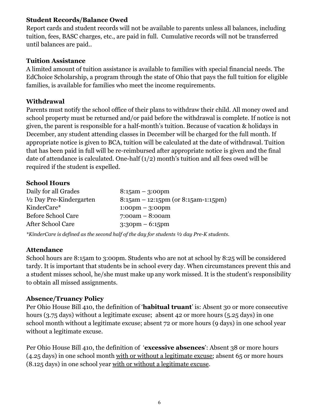#### **Student Records/Balance Owed**

Report cards and student records will not be available to parents unless all balances, including tuition, fees, BASC charges, etc., are paid in full. Cumulative records will not be transferred until balances are paid..

#### **Tuition Assistance**

A limited amount of tuition assistance is available to families with special financial needs. The EdChoice Scholarship, a program through the state of Ohio that pays the full tuition for eligible families, is available for families who meet the income requirements.

# **Withdrawal**

Parents must notify the school office of their plans to withdraw their child. All money owed and school property must be returned and/or paid before the withdrawal is complete. If notice is not given, the parent is responsible for a half-month's tuition. Because of vacation & holidays in December, any student attending classes in December will be charged for the full month. If appropriate notice is given to BCA, tuition will be calculated at the date of withdrawal. Tuition that has been paid in full will be re-reimbursed after appropriate notice is given and the final date of attendance is calculated. One-half (1/2) month's tuition and all fees owed will be required if the student is expelled.

# **School Hours**

| Daily for all Grades               | $8:15$ am - 3:00pm                     |
|------------------------------------|----------------------------------------|
| $\frac{1}{2}$ Day Pre-Kindergarten | $8:15$ am – 12:15pm (or 8:15am-1:15pm) |
| KinderCare*                        | $1:00 \text{pm} - 3:00 \text{pm}$      |
| <b>Before School Care</b>          | $7:00am - 8:00am$                      |
| <b>After School Care</b>           | $3:30 \text{pm} - 6:15 \text{pm}$      |
|                                    |                                        |

*\*KinderCare is defined as the second half of the day for students ½ day Pre-K students.*

# **Attendance**

School hours are 8:15am to 3:00pm. Students who are not at school by 8:25 will be considered tardy. It is important that students be in school every day. When circumstances prevent this and a student misses school, he/she must make up any work missed. It is the student's responsibility to obtain all missed assignments.

# **Absence/Truancy Policy**

Per Ohio House Bill 410, the definition of '**habitual truant**' is: Absent 30 or more consecutive hours (3.75 days) without a legitimate excuse; absent 42 or more hours (5.25 days) in one school month without a legitimate excuse; absent 72 or more hours (9 days) in one school year without a legitimate excuse.

Per Ohio House Bill 410, the definition of '**excessive absences**': Absent 38 or more hours (4.25 days) in one school month with or without a legitimate excuse; absent 65 or more hours (8.125 days) in one school year with or without a legitimate excuse.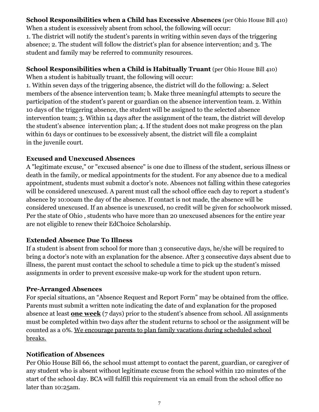# **School Responsibilities when a Child has Excessive Absences** (per Ohio House Bill 410)

When a student is excessively absent from school, the following will occur: 1. The district will notify the student's parents in writing within seven days of the triggering absence; 2. The student will follow the district's plan for absence intervention; and 3. The student and family may be referred to community resources.

#### **School Responsibilities when a Child is Habitually Truant** (per Ohio House Bill 410)

When a student is habitually truant, the following will occur:

1. Within seven days of the triggering absence, the district will do the following: a. Select members of the absence intervention team; b. Make three meaningful attempts to secure the participation of the student's parent or guardian on the absence intervention team. 2. Within 10 days of the triggering absence, the student will be assigned to the selected absence intervention team; 3. Within 14 days after the assignment of the team, the district will develop the student's absence intervention plan; 4. If the student does not make progress on the plan within 61 days or continues to be excessively absent, the district will file a complaint in the juvenile court.

# **Excused and Unexcused Absences**

A "legitimate excuse," or "excused absence" is one due to illness of the student, serious illness or death in the family, or medical appointments for the student. For any absence due to a medical appointment, students must submit a doctor's note. Absences not falling within these categories will be considered unexcused. A parent must call the school office each day to report a student's absence by 10:00am the day of the absence. If contact is not made, the absence will be considered unexcused. If an absence is unexcused, no credit will be given for schoolwork missed. Per the state of Ohio , students who have more than 20 unexcused absences for the entire year are not eligible to renew their EdChoice Scholarship.

# **Extended Absence Due To Illness**

If a student is absent from school for more than 3 consecutive days, he/she will be required to bring a doctor's note with an explanation for the absence. After 3 consecutive days absent due to illness, the parent must contact the school to schedule a time to pick up the student's missed assignments in order to prevent excessive make-up work for the student upon return.

# **Pre-Arranged Absences**

For special situations, an "Absence Request and Report Form" may be obtained from the office. Parents must submit a written note indicating the date of and explanation for the proposed absence at least **one week** (7 days) prior to the student's absence from school. All assignments must be completed within two days after the student returns to school or the assignment will be counted as a 0%. We encourage parents to plan family vacations during scheduled school breaks.

# **Notification of Absences**

Per Ohio House Bill 66, the school must attempt to contact the parent, guardian, or caregiver of any student who is absent without legitimate excuse from the school within 120 minutes of the start of the school day. BCA will fulfill this requirement via an email from the school office no later than 10:25am.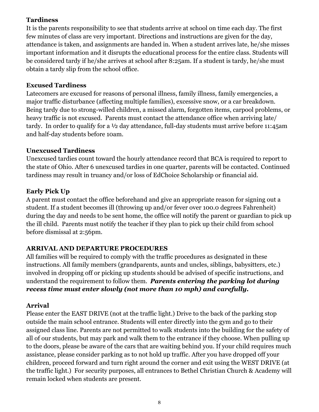# **Tardiness**

It is the parents responsibility to see that students arrive at school on time each day. The first few minutes of class are very important. Directions and instructions are given for the day, attendance is taken, and assignments are handed in. When a student arrives late, he/she misses important information and it disrupts the educational process for the entire class. Students will be considered tardy if he/she arrives at school after 8:25am. If a student is tardy, he/she must obtain a tardy slip from the school office.

# **Excused Tardiness**

Latecomers are excused for reasons of personal illness, family illness, family emergencies, a major traffic disturbance (affecting multiple families), excessive snow, or a car breakdown. Being tardy due to strong-willed children, a missed alarm, forgotten items, carpool problems, or heavy traffic is not excused. Parents must contact the attendance office when arriving late/ tardy. In order to qualify for a ½ day attendance, full-day students must arrive before 11:45am and half-day students before 10am.

#### **Unexcused Tardiness**

Unexcused tardies count toward the hourly attendance record that BCA is required to report to the state of Ohio. After 6 unexcused tardies in one quarter, parents will be contacted. Continued tardiness may result in truancy and/or loss of EdChoice Scholarship or financial aid.

# **Early Pick Up**

A parent must contact the office beforehand and give an appropriate reason for signing out a student. If a student becomes ill (throwing up and/or fever over 100.0 degrees Fahrenheit) during the day and needs to be sent home, the office will notify the parent or guardian to pick up the ill child. Parents must notify the teacher if they plan to pick up their child from school before dismissal at 2:56pm.

# **ARRIVAL AND DEPARTURE PROCEDURES**

All families will be required to comply with the traffic procedures as designated in these instructions. All family members (grandparents, aunts and uncles, siblings, babysitters, etc.) involved in dropping off or picking up students should be advised of specific instructions, and understand the requirement to follow them. *Parents entering the parking lot during recess time must enter slowly (not more than 10 mph) and carefully.*

# **Arrival**

Please enter the EAST DRIVE (not at the traffic light.) Drive to the back of the parking stop outside the main school entrance. Students will enter directly into the gym and go to their assigned class line. Parents are not permitted to walk students into the building for the safety of all of our students, but may park and walk them to the entrance if they choose. When pulling up to the doors, please be aware of the cars that are waiting behind you. If your child requires much assistance, please consider parking as to not hold up traffic. After you have dropped off your children, proceed forward and turn right around the corner and exit using the WEST DRIVE (at the traffic light.) For security purposes, all entrances to Bethel Christian Church & Academy will remain locked when students are present.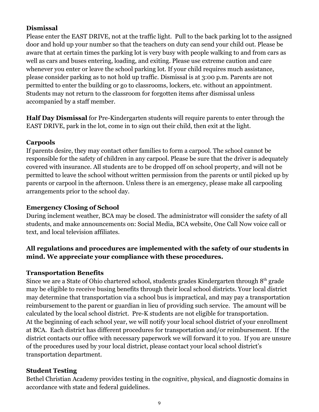#### **Dismissal**

Please enter the EAST DRIVE, not at the traffic light. Pull to the back parking lot to the assigned door and hold up your number so that the teachers on duty can send your child out. Please be aware that at certain times the parking lot is very busy with people walking to and from cars as well as cars and buses entering, loading, and exiting. Please use extreme caution and care whenever you enter or leave the school parking lot. If your child requires much assistance, please consider parking as to not hold up traffic. Dismissal is at 3:00 p.m. Parents are not permitted to enter the building or go to classrooms, lockers, etc. without an appointment. Students may not return to the classroom for forgotten items after dismissal unless accompanied by a staff member.

**Half Day Dismissal** for Pre-Kindergarten students will require parents to enter through the EAST DRIVE, park in the lot, come in to sign out their child, then exit at the light.

#### **Carpools**

If parents desire, they may contact other families to form a carpool. The school cannot be responsible for the safety of children in any carpool. Please be sure that the driver is adequately covered with insurance. All students are to be dropped off on school property, and will not be permitted to leave the school without written permission from the parents or until picked up by parents or carpool in the afternoon. Unless there is an emergency, please make all carpooling arrangements prior to the school day.

#### **Emergency Closing of School**

During inclement weather, BCA may be closed. The administrator will consider the safety of all students, and make announcements on: Social Media, BCA website, One Call Now voice call or text, and local television affiliates.

# **All regulations and procedures are implemented with the safety of our students in mind. We appreciate your compliance with these procedures.**

# **Transportation Benefits**

Since we are a State of Ohio chartered school, students grades Kindergarten through 8th grade may be eligible to receive busing benefits through their local school districts. Your local district may determine that transportation via a school bus is impractical, and may pay a transportation reimbursement to the parent or guardian in lieu of providing such service. The amount will be calculated by the local school district. Pre-K students are not eligible for transportation. At the beginning of each school year, we will notify your local school district of your enrollment at BCA. Each district has different procedures for transportation and/or reimbursement. If the district contacts our office with necessary paperwork we will forward it to you. If you are unsure of the procedures used by your local district, please contact your local school district's transportation department.

# **Student Testing**

Bethel Christian Academy provides testing in the cognitive, physical, and diagnostic domains in accordance with state and federal guidelines.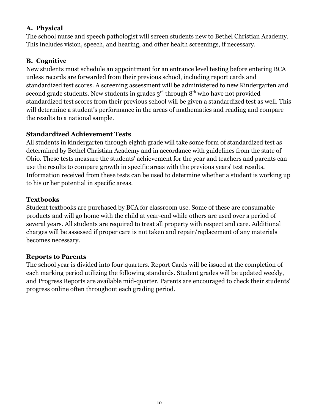# **A. Physical**

The school nurse and speech pathologist will screen students new to Bethel Christian Academy. This includes vision, speech, and hearing, and other health screenings, if necessary.

# **B. Cognitive**

New students must schedule an appointment for an entrance level testing before entering BCA unless records are forwarded from their previous school, including report cards and standardized test scores. A screening assessment will be administered to new Kindergarten and second grade students. New students in grades  $3<sup>rd</sup>$  through  $8<sup>th</sup>$  who have not provided standardized test scores from their previous school will be given a standardized test as well. This will determine a student's performance in the areas of mathematics and reading and compare the results to a national sample.

# **Standardized Achievement Tests**

All students in kindergarten through eighth grade will take some form of standardized test as determined by Bethel Christian Academy and in accordance with guidelines from the state of Ohio. These tests measure the students' achievement for the year and teachers and parents can use the results to compare growth in specific areas with the previous years' test results. Information received from these tests can be used to determine whether a student is working up to his or her potential in specific areas.

# **Textbooks**

Student textbooks are purchased by BCA for classroom use. Some of these are consumable products and will go home with the child at year-end while others are used over a period of several years. All students are required to treat all property with respect and care. Additional charges will be assessed if proper care is not taken and repair/replacement of any materials becomes necessary.

# **Reports to Parents**

The school year is divided into four quarters. Report Cards will be issued at the completion of each marking period utilizing the following standards. Student grades will be updated weekly, and Progress Reports are available mid-quarter. Parents are encouraged to check their students' progress online often throughout each grading period.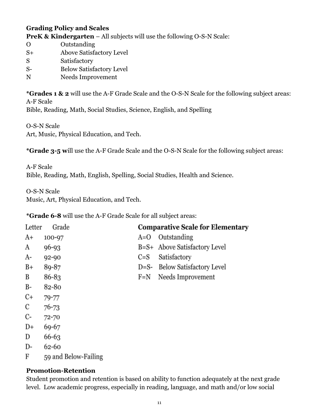# **Grading Policy and Scales PreK & Kindergarten** – All subjects will use the following O-S-N Scale:

- O Outstanding S+ Above Satisfactory Level S Satisfactory S- Below Satisfactory Level
- N Needs Improvement

**\*Grades 1 & 2** will use the A-F Grade Scale and the O-S-N Scale for the following subject areas: A-F Scale Bible, Reading, Math, Social Studies, Science, English, and Spelling

O-S-N Scale

Art, Music, Physical Education, and Tech.

**\*Grade 3-5 w**ill use the A-F Grade Scale and the O-S-N Scale for the following subject areas:

A-F Scale Bible, Reading, Math, English, Spelling, Social Studies, Health and Science.

O-S-N Scale

Music, Art, Physical Education, and Tech.

**\*Grade 6-8** will use the A-F Grade Scale for all subject areas:

| Letter | Grade                |         | <b>Comparative Scale for Elementary</b> |
|--------|----------------------|---------|-----------------------------------------|
| A+     | 100-97               | $A=O$   | Outstanding                             |
| A      | $96 - 93$            |         | B=S+ Above Satisfactory Level           |
| A-     | $92 - 90$            | $C = S$ | Satisfactory                            |
| $B+$   | 89-87                | $D=S-$  | Below Satisfactory Level                |
| B      | 86-83                | $F=N$   | Needs Improvement                       |
| B-     | 82-80                |         |                                         |
| $C+$   | 79-77                |         |                                         |
| С      | 76-73                |         |                                         |
| C-     | 72-70                |         |                                         |
| D+     | 69-67                |         |                                         |
| D      | 66-63                |         |                                         |
| D-     | 62-60                |         |                                         |
| F      | 59 and Below-Failing |         |                                         |

# **Promotion-Retention**

Student promotion and retention is based on ability to function adequately at the next grade level. Low academic progress, especially in reading, language, and math and/or low social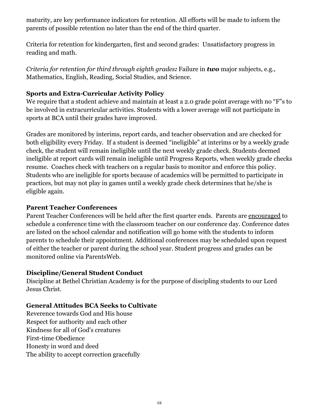maturity, are key performance indicators for retention. All efforts will be made to inform the parents of possible retention no later than the end of the third quarter.

Criteria for retention for kindergarten, first and second grades: Unsatisfactory progress in reading and math.

*Criteria for retention for third through eighth grades:* Failure in *two* major subjects, e.g., Mathematics, English, Reading, Social Studies, and Science.

#### **Sports and Extra-Curricular Activity Policy**

We require that a student achieve and maintain at least a 2.0 grade point average with no "F"s to be involved in extracurricular activities. Students with a lower average will not participate in sports at BCA until their grades have improved.

Grades are monitored by interims, report cards, and teacher observation and are checked for both eligibility every Friday. If a student is deemed "ineligible" at interims or by a weekly grade check, the student will remain ineligible until the next weekly grade check. Students deemed ineligible at report cards will remain ineligible until Progress Reports, when weekly grade checks resume. Coaches check with teachers on a regular basis to monitor and enforce this policy. Students who are ineligible for sports because of academics will be permitted to participate in practices, but may not play in games until a weekly grade check determines that he/she is eligible again.

#### **Parent Teacher Conferences**

Parent Teacher Conferences will be held after the first quarter ends. Parents are encouraged to schedule a conference time with the classroom teacher on our conference day. Conference dates are listed on the school calendar and notification will go home with the students to inform parents to schedule their appointment. Additional conferences may be scheduled upon request of either the teacher or parent during the school year. Student progress and grades can be monitored online via ParentsWeb.

# **Discipline/General Student Conduct**

Discipline at Bethel Christian Academy is for the purpose of discipling students to our Lord Jesus Christ.

# **General Attitudes BCA Seeks to Cultivate**

Reverence towards God and His house Respect for authority and each other Kindness for all of God's creatures First-time Obedience Honesty in word and deed The ability to accept correction gracefully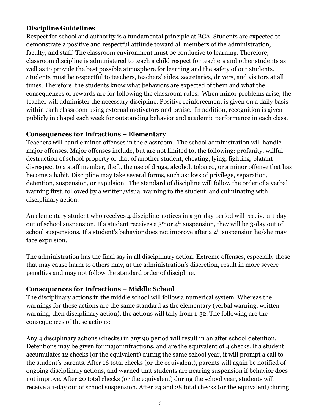#### **Discipline Guidelines**

Respect for school and authority is a fundamental principle at BCA. Students are expected to demonstrate a positive and respectful attitude toward all members of the administration, faculty, and staff. The classroom environment must be conducive to learning. Therefore, classroom discipline is administered to teach a child respect for teachers and other students as well as to provide the best possible atmosphere for learning and the safety of our students. Students must be respectful to teachers, teachers' aides, secretaries, drivers, and visitors at all times. Therefore, the students know what behaviors are expected of them and what the consequences or rewards are for following the classroom rules. When minor problems arise, the teacher will administer the necessary discipline. Positive reinforcement is given on a daily basis within each classroom using external motivators and praise. In addition, recognition is given publicly in chapel each week for outstanding behavior and academic performance in each class.

#### **Consequences for Infractions – Elementary**

Teachers will handle minor offenses in the classroom. The school administration will handle major offenses. Major offenses include, but are not limited to, the following: profanity, willful destruction of school property or that of another student, cheating, lying, fighting, blatant disrespect to a staff member, theft, the use of drugs, alcohol, tobacco, or a minor offense that has become a habit. Discipline may take several forms, such as: loss of privilege, separation, detention, suspension, or expulsion. The standard of discipline will follow the order of a verbal warning first, followed by a written/visual warning to the student, and culminating with disciplinary action.

An elementary student who receives 4 discipline notices in a 30-day period will receive a 1-day out of school suspension. If a student receives a  $3<sup>rd</sup>$  or  $4<sup>th</sup>$  suspension, they will be 3-day out of school suspensions. If a student's behavior does not improve after a  $4^{\text{th}}$  suspension he/she may face expulsion.

The administration has the final say in all disciplinary action. Extreme offenses, especially those that may cause harm to others may, at the administration's discretion, result in more severe penalties and may not follow the standard order of discipline.

# **Consequences for Infractions – Middle School**

The disciplinary actions in the middle school will follow a numerical system. Whereas the warnings for these actions are the same standard as the elementary (verbal warning, written warning, then disciplinary action), the actions will tally from 1-32. The following are the consequences of these actions:

Any 4 disciplinary actions (checks) in any 90 period will result in an after school detention. Detentions may be given for major infractions, and are the equivalent of 4 checks. If a student accumulates 12 checks (or the equivalent) during the same school year, it will prompt a call to the student's parents. After 16 total checks (or the equivalent), parents will again be notified of ongoing disciplinary actions, and warned that students are nearing suspension if behavior does not improve. After 20 total checks (or the equivalent) during the school year, students will receive a 1-day out of school suspension. After 24 and 28 total checks (or the equivalent) during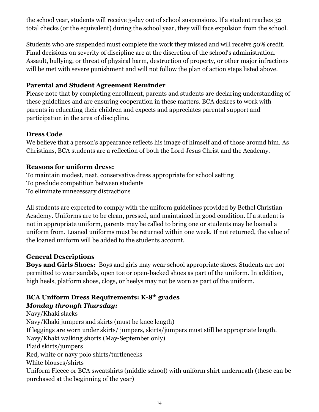the school year, students will receive 3-day out of school suspensions. If a student reaches 32 total checks (or the equivalent) during the school year, they will face expulsion from the school.

Students who are suspended must complete the work they missed and will receive 50% credit. Final decisions on severity of discipline are at the discretion of the school's administration. Assault, bullying, or threat of physical harm, destruction of property, or other major infractions will be met with severe punishment and will not follow the plan of action steps listed above.

# **Parental and Student Agreement Reminder**

Please note that by completing enrollment, parents and students are declaring understanding of these guidelines and are ensuring cooperation in these matters. BCA desires to work with parents in educating their children and expects and appreciates parental support and participation in the area of discipline.

#### **Dress Code**

We believe that a person's appearance reflects his image of himself and of those around him. As Christians, BCA students are a reflection of both the Lord Jesus Christ and the Academy.

# **Reasons for uniform dress:**

To maintain modest, neat, conservative dress appropriate for school setting To preclude competition between students To eliminate unnecessary distractions

All students are expected to comply with the uniform guidelines provided by Bethel Christian Academy. Uniforms are to be clean, pressed, and maintained in good condition. If a student is not in appropriate uniform, parents may be called to bring one or students may be loaned a uniform from. Loaned uniforms must be returned within one week. If not returned, the value of the loaned uniform will be added to the students account.

# **General Descriptions**

**Boys and Girls Shoes:** Boys and girls may wear school appropriate shoes. Students are not permitted to wear sandals, open toe or open-backed shoes as part of the uniform. In addition, high heels, platform shoes, clogs, or heelys may not be worn as part of the uniform.

# **BCA Uniform Dress Requirements: K-8th grades** *Monday through Thursday:*

Navy/Khaki slacks Navy/Khaki jumpers and skirts (must be knee length) If leggings are worn under skirts/ jumpers, skirts/jumpers must still be appropriate length. Navy/Khaki walking shorts (May-September only) Plaid skirts/jumpers Red, white or navy polo shirts/turtlenecks White blouses/shirts Uniform Fleece or BCA sweatshirts (middle school) with uniform shirt underneath (these can be purchased at the beginning of the year)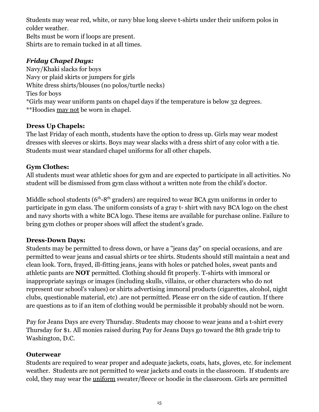Students may wear red, white, or navy blue long sleeve t-shirts under their uniform polos in colder weather.

Belts must be worn if loops are present. Shirts are to remain tucked in at all times.

# *Friday Chapel Days:*

Navy/Khaki slacks for boys Navy or plaid skirts or jumpers for girls White dress shirts/blouses (no polos/turtle necks) Ties for boys \*Girls may wear uniform pants on chapel days if the temperature is below 32 degrees. \*\*Hoodies may not be worn in chapel.

# **Dress Up Chapels:**

The last Friday of each month, students have the option to dress up. Girls may wear modest dresses with sleeves or skirts. Boys may wear slacks with a dress shirt of any color with a tie. Students must wear standard chapel uniforms for all other chapels.

# **Gym Clothes:**

All students must wear athletic shoes for gym and are expected to participate in all activities. No student will be dismissed from gym class without a written note from the child's doctor.

Middle school students  $(6<sup>th</sup>-8<sup>th</sup>$  graders) are required to wear BCA gym uniforms in order to participate in gym class. The uniform consists of a gray t- shirt with navy BCA logo on the chest and navy shorts with a white BCA logo. These items are available for purchase online. Failure to bring gym clothes or proper shoes will affect the student's grade.

# **Dress-Down Days:**

Students may be permitted to dress down, or have a "jeans day" on special occasions, and are permitted to wear jeans and casual shirts or tee shirts. Students should still maintain a neat and clean look. Torn, frayed, ill-fitting jeans, jeans with holes or patched holes, sweat pants and athletic pants are **NOT** permitted. Clothing should fit properly. T-shirts with immoral or inappropriate sayings or images (including skulls, villains, or other characters who do not represent our school's values) or shirts advertising immoral products (cigarettes, alcohol, night clubs, questionable material, etc) .are not permitted. Please err on the side of caution. If there are questions as to if an item of clothing would be permissible it probably should not be worn.

Pay for Jeans Days are every Thursday. Students may choose to wear jeans and a t-shirt every Thursday for \$1. All monies raised during Pay for Jeans Days go toward the 8th grade trip to Washington, D.C.

# **Outerwear**

Students are required to wear proper and adequate jackets, coats, hats, gloves, etc. for inclement weather. Students are not permitted to wear jackets and coats in the classroom. If students are cold, they may wear the uniform sweater/fleece or hoodie in the classroom. Girls are permitted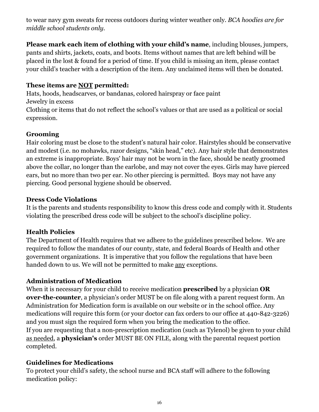to wear navy gym sweats for recess outdoors during winter weather only. *BCA hoodies are for middle school students only.*

**Please mark each item of clothing with your child's name**, including blouses, jumpers, pants and shirts, jackets, coats, and boots. Items without names that are left behind will be placed in the lost & found for a period of time. If you child is missing an item, please contact your child's teacher with a description of the item. Any unclaimed items will then be donated.

#### **These items are NOT permitted:**

Hats, hoods, headscarves, or bandanas, colored hairspray or face paint Jewelry in excess Clothing or items that do not reflect the school's values or that are used as a political or social expression.

# **Grooming**

Hair coloring must be close to the student's natural hair color. Hairstyles should be conservative and modest (i.e. no mohawks, razor designs, "skin head," etc). Any hair style that demonstrates an extreme is inappropriate. Boys' hair may not be worn in the face, should be neatly groomed above the collar, no longer than the earlobe, and may not cover the eyes. Girls may have pierced ears, but no more than two per ear. No other piercing is permitted. Boys may not have any piercing. Good personal hygiene should be observed.

#### **Dress Code Violations**

It is the parents and students responsibility to know this dress code and comply with it. Students violating the prescribed dress code will be subject to the school's discipline policy.

# **Health Policies**

The Department of Health requires that we adhere to the guidelines prescribed below. We are required to follow the mandates of our county, state, and federal Boards of Health and other government organizations. It is imperative that you follow the regulations that have been handed down to us. We will not be permitted to make any exceptions.

# **Administration of Medication**

When it is necessary for your child to receive medication **prescribed** by a physician **OR over-the-counter**, a physician's order MUST be on file along with a parent request form. An Administration for Medication form is available on our website or in the school office. Any medications will require this form (or your doctor can fax orders to our office at 440-842-3226) and you must sign the required form when you bring the medication to the office. If you are requesting that a non-prescription medication (such as Tylenol) be given to your child as needed, a **physician's** order MUST BE ON FILE, along with the parental request portion completed.

# **Guidelines for Medications**

To protect your child's safety, the school nurse and BCA staff will adhere to the following medication policy: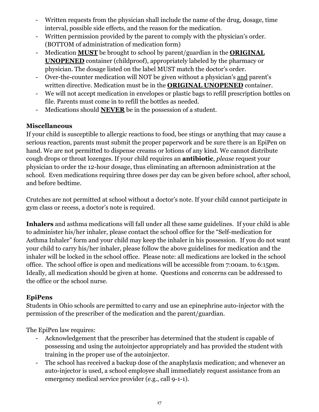- Written requests from the physician shall include the name of the drug, dosage, time interval, possible side effects, and the reason for the medication.
- Written permission provided by the parent to comply with the physician's order. (BOTTOM of administration of medication form)
- Medication **MUST** be brought to school by parent/guardian in the **ORIGINAL UNOPENED** container (childproof), appropriately labeled by the pharmacy or physician. The dosage listed on the label MUST match the doctor's order.
- Over-the-counter medication will NOT be given without a physician's and parent's written directive. Medication must be in the **ORIGINAL UNOPENED** container.
- We will not accept medication in envelopes or plastic bags to refill prescription bottles on file. Parents must come in to refill the bottles as needed.
- Medications should **NEVER** be in the possession of a student.

# **Miscellaneous**

If your child is susceptible to allergic reactions to food, bee stings or anything that may cause a serious reaction, parents must submit the proper paperwork and be sure there is an EpiPen on hand. We are not permitted to dispense creams or lotions of any kind. We cannot distribute cough drops or throat lozenges. If your child requires an **antibiotic**, *please* request your physician to order the 12-hour dosage, thus eliminating an afternoon administration at the school. Even medications requiring three doses per day can be given before school, after school, and before bedtime.

Crutches are not permitted at school without a doctor's note. If your child cannot participate in gym class or recess, a doctor's note is required.

**Inhalers** and asthma medications will fall under all these same guidelines. If your child is able to administer his/her inhaler, please contact the school office for the "Self-medication for Asthma Inhaler" form and your child may keep the inhaler in his possession. If you do not want your child to carry his/her inhaler, please follow the above guidelines for medication and the inhaler will be locked in the school office. Please note: all medications are locked in the school office. The school office is open and medications will be accessible from 7:00am. to 6:15pm. Ideally, all medication should be given at home. Questions and concerns can be addressed to the office or the school nurse.

# **EpiPens**

Students in Ohio schools are permitted to carry and use an epinephrine auto-injector with the permission of the prescriber of the medication and the parent/guardian.

The EpiPen law requires:

- Acknowledgement that the prescriber has determined that the student is capable of possessing and using the autoinjector appropriately and has provided the student with training in the proper use of the autoinjector.
- The school has received a backup dose of the anaphylaxis medication; and whenever an auto-injector is used, a school employee shall immediately request assistance from an emergency medical service provider (e.g., call 9-1-1).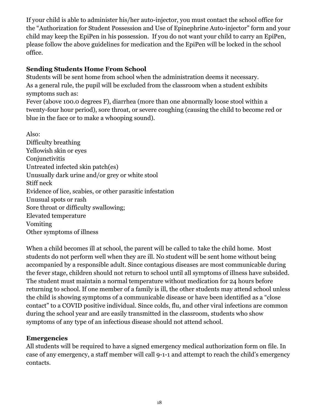If your child is able to administer his/her auto-injector, you must contact the school office for the "Authorization for Student Possession and Use of Epinephrine Auto-injector" form and your child may keep the EpiPen in his possession. If you do not want your child to carry an EpiPen, please follow the above guidelines for medication and the EpiPen will be locked in the school office.

# **Sending Students Home From School**

Students will be sent home from school when the administration deems it necessary. As a general rule, the pupil will be excluded from the classroom when a student exhibits symptoms such as:

Fever (above 100.0 degrees F), diarrhea (more than one abnormally loose stool within a twenty-four hour period), sore throat, or severe coughing (causing the child to become red or blue in the face or to make a whooping sound).

Also: Difficulty breathing Yellowish skin or eyes **Conjunctivitis** Untreated infected skin patch(es) Unusually dark urine and/or grey or white stool Stiff neck Evidence of lice, scabies, or other parasitic infestation Unusual spots or rash Sore throat or difficulty swallowing; Elevated temperature Vomiting Other symptoms of illness

When a child becomes ill at school, the parent will be called to take the child home. Most students do not perform well when they are ill. No student will be sent home without being accompanied by a responsible adult. Since contagious diseases are most communicable during the fever stage, children should not return to school until all symptoms of illness have subsided. The student must maintain a normal temperature without medication for 24 hours before returning to school. If one member of a family is ill, the other students may attend school unless the child is showing symptoms of a communicable disease or have been identified as a "close contact" to a COVID positive individual. Since colds, flu, and other viral infections are common during the school year and are easily transmitted in the classroom, students who show symptoms of any type of an infectious disease should not attend school.

# **Emergencies**

All students will be required to have a signed emergency medical authorization form on file. In case of any emergency, a staff member will call 9-1-1 and attempt to reach the child's emergency contacts.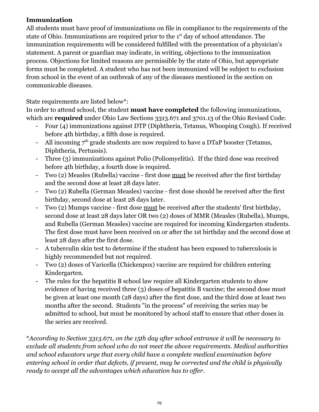# **Immunization**

All students must have proof of immunizations on file in compliance to the requirements of the state of Ohio. Immunizations are required prior to the 1<sup>st</sup> day of school attendance. The immunization requirements will be considered fulfilled with the presentation of a physician's statement. A parent or guardian may indicate, in writing, objections to the immunization process. Objections for limited reasons are permissible by the state of Ohio, but appropriate forms must be completed. A student who has not been immunized will be subject to exclusion from school in the event of an outbreak of any of the diseases mentioned in the section on communicable diseases.

State requirements are listed below\*:

In order to attend school, the student **must have completed** the following immunizations, which are **required** under Ohio Law Sections 3313.671 and 3701.13 of the Ohio Revised Code:

- Four (4) immunizations against DTP (Diphtheria, Tetanus, Whooping Cough). If received before 4th birthday, a fifth dose is required.
- All incoming  $7<sup>th</sup>$  grade students are now required to have a DTaP booster (Tetanus, Diphtheria, Pertussis).
- Three (3) immunizations against Polio (Poliomyelitis). If the third dose was received before 4th birthday, a fourth dose is required.
- Two (2) Measles (Rubella) vaccine first dose must be received after the first birthday and the second dose at least 28 days later.
- Two (2) Rubella (German Measles) vaccine first dose should be received after the first birthday, second dose at least 28 days later.
- Two (2) Mumps vaccine first dose must be received after the students' first birthday, second dose at least 28 days later OR two (2) doses of MMR (Measles (Rubella), Mumps, and Rubella (German Measles) vaccine are required for incoming Kindergarten students. The first dose must have been received on or after the 1st birthday and the second dose at least 28 days after the first dose.
- A tuberculin skin test to determine if the student has been exposed to tuberculosis is highly recommended but not required.
- Two (2) doses of Varicella (Chickenpox) vaccine are required for children entering Kindergarten.
- The rules for the hepatitis B school law require all Kindergarten students to show evidence of having received three (3) doses of hepatitis B vaccine; the second dose must be given at least one month (28 days) after the first dose, and the third dose at least two months after the second. Students "in the process" of receiving the series may be admitted to school, but must be monitored by school staff to ensure that other doses in the series are received.

\**According to Section 3313.671, on the 15th day after school entrance it will be necessary to exclude all students from school who do not meet the above requirements. Medical authorities and school educators urge that every child have a complete medical examination before entering school in order that defects, if present, may be corrected and the child is physically ready to accept all the advantages which education has to offer.*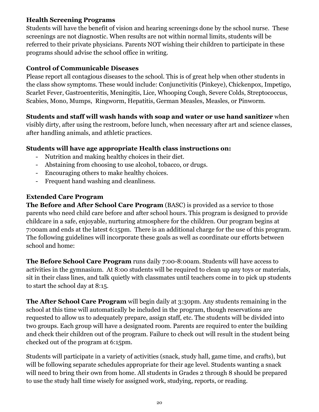# **Health Screening Programs**

Students will have the benefit of vision and hearing screenings done by the school nurse. These screenings are not diagnostic. When results are not within normal limits, students will be referred to their private physicians. Parents NOT wishing their children to participate in these programs should advise the school office in writing.

# **Control of Communicable Diseases**

Please report all contagious diseases to the school. This is of great help when other students in the class show symptoms. These would include: Conjunctivitis (Pinkeye), Chickenpox, Impetigo, Scarlet Fever, Gastroenteritis, Meningitis, Lice, Whooping Cough, Severe Colds, Streptococcus, Scabies, Mono, Mumps, Ringworm, Hepatitis, German Measles, Measles, or Pinworm.

# **Students and staff will wash hands with soap and water or use hand sanitizer** when

visibly dirty, after using the restroom, before lunch, when necessary after art and science classes, after handling animals, and athletic practices.

# **Students will have age appropriate Health class instructions on:**

- Nutrition and making healthy choices in their diet.
- Abstaining from choosing to use alcohol, tobacco, or drugs.
- Encouraging others to make healthy choices.
- Frequent hand washing and cleanliness.

# **Extended Care Program**

**The Before and After School Care Program** (BASC) is provided as a service to those parents who need child care before and after school hours. This program is designed to provide childcare in a safe, enjoyable, nurturing atmosphere for the children. Our program begins at 7:00am and ends at the latest 6:15pm. There is an additional charge for the use of this program. The following guidelines will incorporate these goals as well as coordinate our efforts between school and home:

**The Before School Care Program** runs daily 7:00-8:00am. Students will have access to activities in the gymnasium. At 8:00 students will be required to clean up any toys or materials, sit in their class lines, and talk quietly with classmates until teachers come in to pick up students to start the school day at 8:15.

**The After School Care Program** will begin daily at 3:30pm. Any students remaining in the school at this time will automatically be included in the program, though reservations are requested to allow us to adequately prepare, assign staff, etc. The students will be divided into two groups. Each group will have a designated room. Parents are required to enter the building and check their children out of the program. Failure to check out will result in the student being checked out of the program at 6:15pm.

Students will participate in a variety of activities (snack, study hall, game time, and crafts), but will be following separate schedules appropriate for their age level. Students wanting a snack will need to bring their own from home. All students in Grades 2 through 8 should be prepared to use the study hall time wisely for assigned work, studying, reports, or reading.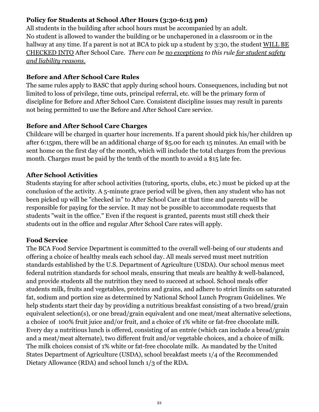# **Policy for Students at School After Hours (3:30-6:15 pm)**

All students in the building after school hours must be accompanied by an adult. No student is allowed to wander the building or be unchaperoned in a classroom or in the hallway at any time. If a parent is not at BCA to pick up a student by 3:30, the student WILL BE CHECKED INTO After School Care. *There can be no exceptions to this rule for student safety and liability reasons.*

# **Before and After School Care Rules**

The same rules apply to BASC that apply during school hours. Consequences, including but not limited to loss of privilege, time outs, principal referral, etc. will be the primary form of discipline for Before and After School Care. Consistent discipline issues may result in parents not being permitted to use the Before and After School Care service.

# **Before and After School Care Charges**

Childcare will be charged in quarter hour increments. If a parent should pick his/her children up after 6:15pm, there will be an additional charge of \$5.00 for each 15 minutes. An email with be sent home on the first day of the month, which will include the total charges from the previous month. Charges must be paid by the tenth of the month to avoid a \$15 late fee.

# **After School Activities**

Students staying for after school activities (tutoring, sports, clubs, etc.) must be picked up at the conclusion of the activity. A 5-minute grace period will be given, then any student who has not been picked up will be "checked in" to After School Care at that time and parents will be responsible for paying for the service. It may not be possible to accommodate requests that students "wait in the office." Even if the request is granted, parents must still check their students out in the office and regular After School Care rates will apply.

# **Food Service**

The BCA Food Service Department is committed to the overall well-being of our students and offering a choice of healthy meals each school day. All meals served must meet nutrition standards established by the U.S. Department of Agriculture (USDA). Our school menus meet federal nutrition standards for school meals, ensuring that meals are healthy & well-balanced, and provide students all the nutrition they need to succeed at school. School meals offer students milk, fruits and vegetables, proteins and grains, and adhere to strict limits on saturated fat, sodium and portion size as determined by National School Lunch Program Guidelines. We help students start their day by providing a nutritious breakfast consisting of a two bread/grain equivalent selection(s), or one bread/grain equivalent and one meat/meat alternative selections, a choice of 100% fruit juice and/or fruit, and a choice of 1% white or fat-free chocolate milk. Every day a nutritious lunch is offered, consisting of an entrée (which can include a bread/grain and a meat/meat alternate), two different fruit and/or vegetable choices, and a choice of milk. The milk choices consist of 1% white or fat-free chocolate milk. As mandated by the United States Department of Agriculture (USDA), school breakfast meets 1/4 of the Recommended Dietary Allowance (RDA) and school lunch 1/3 of the RDA.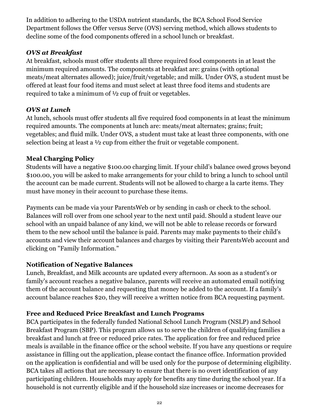In addition to adhering to the USDA nutrient standards, the BCA School Food Service Department follows the Offer versus Serve (OVS) serving method, which allows students to decline some of the food components offered in a school lunch or breakfast.

# *OVS at Breakfast*

At breakfast, schools must offer students all three required food components in at least the minimum required amounts. The components at breakfast are: grains (with optional meats/meat alternates allowed); juice/fruit/vegetable; and milk. Under OVS, a student must be offered at least four food items and must select at least three food items and students are required to take a minimum of ½ cup of fruit or vegetables.

# *OVS at Lunch*

At lunch, schools must offer students all five required food components in at least the minimum required amounts. The components at lunch are: meats/meat alternates; grains; fruit; vegetables; and fluid milk. Under OVS, a student must take at least three components, with one selection being at least a ½ cup from either the fruit or vegetable component.

# **Meal Charging Policy**

Students will have a negative \$100.00 charging limit. If your child's balance owed grows beyond \$100.00, you will be asked to make arrangements for your child to bring a lunch to school until the account can be made current. Students will not be allowed to charge a la carte items. They must have money in their account to purchase these items.

Payments can be made via your ParentsWeb or by sending in cash or check to the school. Balances will roll over from one school year to the next until paid. Should a student leave our school with an unpaid balance of any kind, we will not be able to release records or forward them to the new school until the balance is paid. Parents may make payments to their child's accounts and view their account balances and charges by visiting their ParentsWeb account and clicking on "Family Information."

# **Notification of Negative Balances**

Lunch, Breakfast, and Milk accounts are updated every afternoon. As soon as a student's or family's account reaches a negative balance, parents will receive an automated email notifying them of the account balance and requesting that money be added to the account. If a family's account balance reaches \$20, they will receive a written notice from BCA requesting payment.

# **Free and Reduced Price Breakfast and Lunch Programs**

BCA participates in the federally funded National School Lunch Program (NSLP) and School Breakfast Program (SBP). This program allows us to serve the children of qualifying families a breakfast and lunch at free or reduced price rates. The application for free and reduced price meals is available in the finance office or the school website. If you have any questions or require assistance in filling out the application, please contact the finance office. Information provided on the application is confidential and will be used only for the purpose of determining eligibility. BCA takes all actions that are necessary to ensure that there is no overt identification of any participating children. Households may apply for benefits any time during the school year. If a household is not currently eligible and if the household size increases or income decreases for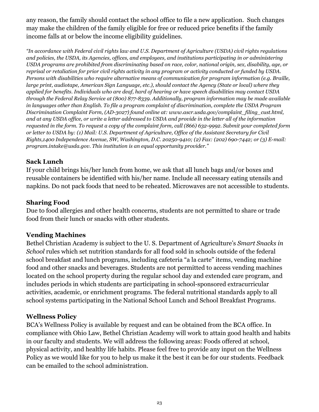any reason, the family should contact the school office to file a new application. Such changes may make the children of the family eligible for free or reduced price benefits if the family income falls at or below the income eligibility guidelines.

*"In accordance with Federal civil rights law and U.S. Department of Agriculture (USDA) civil rights regulations and policies, the USDA, its Agencies, of ices, and employees, and institutions participating in or administering USDA programs are prohibited from discriminating based on race, color, national origin, sex, disability, age, or* reprisal or retaliation for prior civil rights activity in any program or activity conducted or funded by USDA. *Persons with disabilities who require alternative means of communication for program information (e.g. Braille, large print, audiotape, American Sign Language, etc.), should contact the Agency (State or local) where they* applied for benefits. Individuals who are deaf, hard of hearing or have speech disabilities may contact USDA *through the Federal Relay Service at (800) 877-8339. Additionally, program information may be made available in languages other than English. To file a program complaint of discrimination, complete the USDA Program Discrimination Complaint Form, (AD-3027) found online at: www.ascr.usda.gov/complaint\_filing\_cust.html,* and at any USDA office, or write a letter addressed to USDA and provide in the letter all of the information requested in the form. To request a copy of the complaint form, call (866) 632-9992. Submit your completed form or letter to USDA by: (1) Mail: U.S. Department of Agriculture, Office of the Assistant Secretary for Civil *Rights,1400 Independence Avenue, SW, Washington, D.C. 20250-9410; (2) Fax: (202) 690-7442; or (3) E-mail: program.intake@usda.gov. This institution is an equal opportunity provider."*

#### **Sack Lunch**

If your child brings his/her lunch from home, we ask that all lunch bags and/or boxes and reusable containers be identified with his/her name. Include all necessary eating utensils and napkins. Do not pack foods that need to be reheated. Microwaves are not accessible to students.

#### **Sharing Food**

Due to food allergies and other health concerns, students are not permitted to share or trade food from their lunch or snacks with other students.

# **Vending Machines**

Bethel Christian Academy is subject to the U. S. Department of Agriculture's *Smart Snacks in School* rules which set nutrition standards for all food sold in schools outside of the federal school breakfast and lunch programs, including cafeteria "a la carte" items, vending machine food and other snacks and beverages. Students are not permitted to access vending machines located on the school property during the regular school day and extended care program, and includes periods in which students are participating in school-sponsored extracurricular activities, academic, or enrichment programs. The federal nutritional standards apply to all school systems participating in the National School Lunch and School Breakfast Programs.

# **Wellness Policy**

BCA's Wellness Policy is available by request and can be obtained from the BCA office. In compliance with Ohio Law, Bethel Christian Academy will work to attain good health and habits in our faculty and students. We will address the following areas: Foods offered at school, physical activity, and healthy life habits. Please feel free to provide any input on the Wellness Policy as we would like for you to help us make it the best it can be for our students. Feedback can be emailed to the school administration.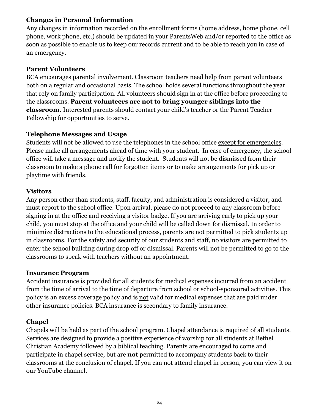#### **Changes in Personal Information**

Any changes in information recorded on the enrollment forms (home address, home phone, cell phone, work phone, etc.) should be updated in your ParentsWeb and/or reported to the office as soon as possible to enable us to keep our records current and to be able to reach you in case of an emergency.

#### **Parent Volunteers**

BCA encourages parental involvement. Classroom teachers need help from parent volunteers both on a regular and occasional basis. The school holds several functions throughout the year that rely on family participation. All volunteers should sign in at the office before proceeding to the classrooms. **Parent volunteers are not to bring younger siblings into the classroom.** Interested parents should contact your child's teacher or the Parent Teacher Fellowship for opportunities to serve.

# **Telephone Messages and Usage**

Students will not be allowed to use the telephones in the school office except for emergencies. Please make all arrangements ahead of time with your student. In case of emergency, the school office will take a message and notify the student. Students will not be dismissed from their classroom to make a phone call for forgotten items or to make arrangements for pick up or playtime with friends.

# **Visitors**

Any person other than students, staff, faculty, and administration is considered a visitor, and must report to the school office. Upon arrival, please do not proceed to any classroom before signing in at the office and receiving a visitor badge. If you are arriving early to pick up your child, you must stop at the office and your child will be called down for dismissal. In order to minimize distractions to the educational process, parents are not permitted to pick students up in classrooms. For the safety and security of our students and staff, no visitors are permitted to enter the school building during drop off or dismissal. Parents will not be permitted to go to the classrooms to speak with teachers without an appointment.

# **Insurance Program**

Accident insurance is provided for all students for medical expenses incurred from an accident from the time of arrival to the time of departure from school or school-sponsored activities. This policy is an excess coverage policy and is not valid for medical expenses that are paid under other insurance policies. BCA insurance is secondary to family insurance.

# **Chapel**

Chapels will be held as part of the school program. Chapel attendance is required of all students. Services are designed to provide a positive experience of worship for all students at Bethel Christian Academy followed by a biblical teaching. Parents are encouraged to come and participate in chapel service, but are **not** permitted to accompany students back to their classrooms at the conclusion of chapel. If you can not attend chapel in person, you can view it on our YouTube channel.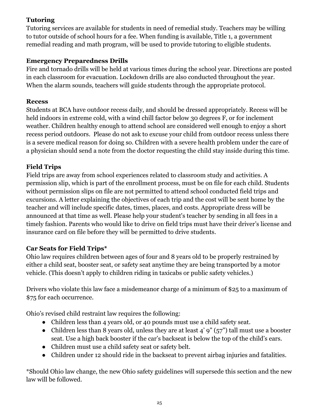# **Tutoring**

Tutoring services are available for students in need of remedial study. Teachers may be willing to tutor outside of school hours for a fee. When funding is available, Title 1, a government remedial reading and math program, will be used to provide tutoring to eligible students.

# **Emergency Preparedness Drills**

Fire and tornado drills will be held at various times during the school year. Directions are posted in each classroom for evacuation. Lockdown drills are also conducted throughout the year. When the alarm sounds, teachers will guide students through the appropriate protocol.

# **Recess**

Students at BCA have outdoor recess daily, and should be dressed appropriately. Recess will be held indoors in extreme cold, with a wind chill factor below 30 degrees F, or for inclement weather. Children healthy enough to attend school are considered well enough to enjoy a short recess period outdoors. Please do not ask to excuse your child from outdoor recess unless there is a severe medical reason for doing so. Children with a severe health problem under the care of a physician should send a note from the doctor requesting the child stay inside during this time.

# **Field Trips**

Field trips are away from school experiences related to classroom study and activities. A permission slip, which is part of the enrollment process, must be on file for each child. Students without permission slips on file are not permitted to attend school conducted field trips and excursions. A letter explaining the objectives of each trip and the cost will be sent home by the teacher and will include specific dates, times, places, and costs. Appropriate dress will be announced at that time as well. Please help your student's teacher by sending in all fees in a timely fashion. Parents who would like to drive on field trips must have their driver's license and insurance card on file before they will be permitted to drive students.

# **Car Seats for Field Trips\***

Ohio law requires children between ages of four and 8 years old to be properly restrained by either a child seat, booster seat, or safety seat anytime they are being transported by a motor vehicle. (This doesn't apply to children riding in taxicabs or public safety vehicles.)

Drivers who violate this law face a misdemeanor charge of a minimum of \$25 to a maximum of \$75 for each occurrence.

Ohio's revised child restraint law requires the following:

- Children less than 4 years old, or 40 pounds must use a child safety seat.
- Children less than 8 years old, unless they are at least  $4'$  9" ( $57$ ") tall must use a booster seat. Use a high back booster if the car's backseat is below the top of the child's ears.
- Children must use a child safety seat or safety belt.
- Children under 12 should ride in the backseat to prevent airbag injuries and fatalities.

\*Should Ohio law change, the new Ohio safety guidelines will supersede this section and the new law will be followed.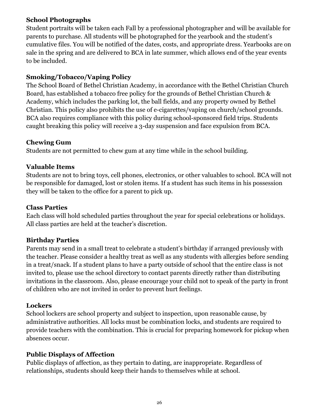#### **School Photographs**

Student portraits will be taken each Fall by a professional photographer and will be available for parents to purchase. All students will be photographed for the yearbook and the student's cumulative files. You will be notified of the dates, costs, and appropriate dress. Yearbooks are on sale in the spring and are delivered to BCA in late summer, which allows end of the year events to be included.

# **Smoking/Tobacco/Vaping Policy**

The School Board of Bethel Christian Academy, in accordance with the Bethel Christian Church Board, has established a tobacco free policy for the grounds of Bethel Christian Church & Academy, which includes the parking lot, the ball fields, and any property owned by Bethel Christian. This policy also prohibits the use of e-cigarettes/vaping on church/school grounds. BCA also requires compliance with this policy during school-sponsored field trips. Students caught breaking this policy will receive a 3-day suspension and face expulsion from BCA.

# **Chewing Gum**

Students are not permitted to chew gum at any time while in the school building.

# **Valuable Items**

Students are not to bring toys, cell phones, electronics, or other valuables to school. BCA will not be responsible for damaged, lost or stolen items. If a student has such items in his possession they will be taken to the office for a parent to pick up.

#### **Class Parties**

Each class will hold scheduled parties throughout the year for special celebrations or holidays. All class parties are held at the teacher's discretion.

# **Birthday Parties**

Parents may send in a small treat to celebrate a student's birthday if arranged previously with the teacher. Please consider a healthy treat as well as any students with allergies before sending in a treat/snack. If a student plans to have a party outside of school that the entire class is not invited to, please use the school directory to contact parents directly rather than distributing invitations in the classroom. Also, please encourage your child not to speak of the party in front of children who are not invited in order to prevent hurt feelings.

# **Lockers**

School lockers are school property and subject to inspection, upon reasonable cause, by administrative authorities. All locks must be combination locks, and students are required to provide teachers with the combination. This is crucial for preparing homework for pickup when absences occur.

# **Public Displays of Affection**

Public displays of affection, as they pertain to dating, are inappropriate. Regardless of relationships, students should keep their hands to themselves while at school.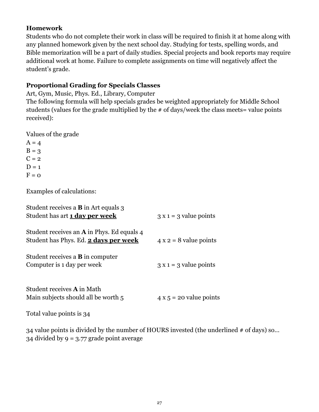#### **Homework**

Students who do not complete their work in class will be required to finish it at home along with any planned homework given by the next school day. Studying for tests, spelling words, and Bible memorization will be a part of daily studies. Special projects and book reports may require additional work at home. Failure to complete assignments on time will negatively affect the student's grade.

# **Proportional Grading for Specials Classes**

Art, Gym, Music, Phys. Ed., Library, Computer

The following formula will help specials grades be weighted appropriately for Middle School students (values for the grade multiplied by the # of days/week the class meets= value points received):

Values of the grade

 $A = 4$  $B = 3$  $C = 2$  $D = 1$  $F = 0$ 

Examples of calculations:

| Student receives a <b>B</b> in Art equals 3<br>Student has art 1 day per week              | $3x1 = 3$ value points         |
|--------------------------------------------------------------------------------------------|--------------------------------|
| Student receives an <b>A</b> in Phys. Ed equals 4<br>Student has Phys. Ed. 2 days per week | $4 x 2 = 8$ value points       |
| Student receives a <b>B</b> in computer<br>Computer is 1 day per week                      | $3x1 = 3$ value points         |
| Student receives <b>A</b> in Math<br>Main subjects should all be worth 5                   | $4 \times 5 = 20$ value points |
| Total value points is 34                                                                   |                                |

34 value points is divided by the number of HOURS invested (the underlined # of days) so… 34 divided by  $9 = 3.77$  grade point average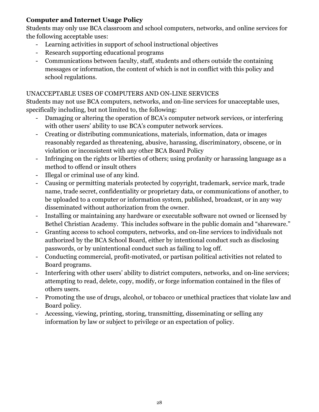# **Computer and Internet Usage Policy**

Students may only use BCA classroom and school computers, networks, and online services for the following acceptable uses:

- Learning activities in support of school instructional objectives
- Research supporting educational programs
- Communications between faculty, staff, students and others outside the containing messages or information, the content of which is not in conflict with this policy and school regulations.

# UNACCEPTABLE USES OF COMPUTERS AND ON-LINE SERVICES

Students may not use BCA computers, networks, and on-line services for unacceptable uses, specifically including, but not limited to, the following:

- Damaging or altering the operation of BCA's computer network services, or interfering with other users' ability to use BCA's computer network services.
- Creating or distributing communications, materials, information, data or images reasonably regarded as threatening, abusive, harassing, discriminatory, obscene, or in violation or inconsistent with any other BCA Board Policy
- Infringing on the rights or liberties of others; using profanity or harassing language as a method to offend or insult others
- Illegal or criminal use of any kind.
- Causing or permitting materials protected by copyright, trademark, service mark, trade name, trade secret, confidentiality or proprietary data, or communications of another, to be uploaded to a computer or information system, published, broadcast, or in any way disseminated without authorization from the owner.
- Installing or maintaining any hardware or executable software not owned or licensed by Bethel Christian Academy. This includes software in the public domain and "shareware."
- Granting access to school computers, networks, and on-line services to individuals not authorized by the BCA School Board, either by intentional conduct such as disclosing passwords, or by unintentional conduct such as failing to log off.
- Conducting commercial, profit-motivated, or partisan political activities not related to Board programs.
- Interfering with other users' ability to district computers, networks, and on-line services; attempting to read, delete, copy, modify, or forge information contained in the files of others users.
- Promoting the use of drugs, alcohol, or tobacco or unethical practices that violate law and Board policy.
- Accessing, viewing, printing, storing, transmitting, disseminating or selling any information by law or subject to privilege or an expectation of policy.